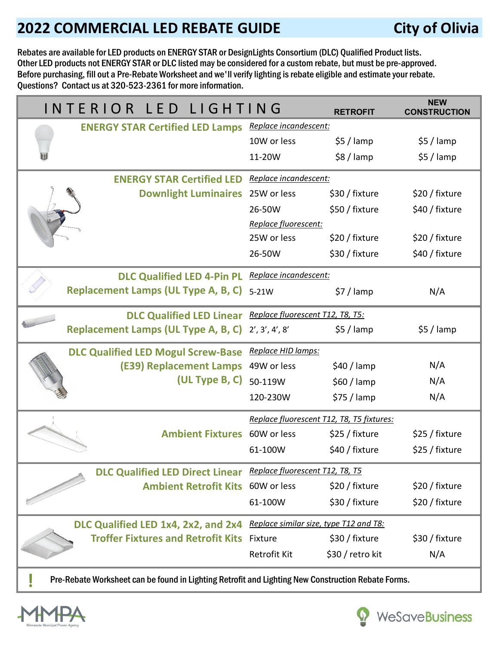## **2022 COMMERCIAL LED REBATE GUIDE City of Olivia**

WeSaveBusiness

Rebates are available for LED products on ENERGY STAR or DesignLights Consortium (DLC) Qualified Product lists. Other LED products not ENERGY STAR or DLC listed may be considered for a custom rebate, but must be pre-approved. Before purchasing, fill out a Pre-Rebate Worksheet and we'll verify lighting is rebate eligible and estimate your rebate. Questions? Contact us at 320-523-2361 for more information.

|                                                                                                    | INTERIOR LED LIGHTING                                           |                                           | <b>RETROFIT</b>  | <b>NEW</b><br><b>CONSTRUCTION</b> |  |
|----------------------------------------------------------------------------------------------------|-----------------------------------------------------------------|-------------------------------------------|------------------|-----------------------------------|--|
|                                                                                                    | <b>ENERGY STAR Certified LED Lamps</b> Replace incandescent:    |                                           |                  |                                   |  |
|                                                                                                    |                                                                 | 10W or less                               | $$5/$ lamp       | $$5/$ lamp                        |  |
|                                                                                                    |                                                                 | 11-20W                                    | $$8/$ lamp       | $$5/$ lamp                        |  |
|                                                                                                    | <b>ENERGY STAR Certified LED</b>                                | Replace incandescent:                     |                  |                                   |  |
|                                                                                                    | <b>Downlight Luminaires</b> 25W or less                         |                                           | \$30 / fixture   | \$20 / fixture                    |  |
|                                                                                                    |                                                                 | 26-50W                                    | \$50 / fixture   | \$40 / fixture                    |  |
|                                                                                                    |                                                                 | Replace fluorescent:                      |                  |                                   |  |
|                                                                                                    |                                                                 | 25W or less                               | \$20 / fixture   | \$20 / fixture                    |  |
|                                                                                                    |                                                                 | 26-50W                                    | \$30 / fixture   | \$40 / fixture                    |  |
|                                                                                                    | DLC Qualified LED 4-Pin PL Replace incandescent:                |                                           |                  |                                   |  |
|                                                                                                    | Replacement Lamps (UL Type A, B, C) 5-21W                       |                                           | $$7/$ lamp       | N/A                               |  |
|                                                                                                    | DLC Qualified LED Linear Replace fluorescent T12, T8, T5:       |                                           |                  |                                   |  |
|                                                                                                    | Replacement Lamps (UL Type A, B, C) 2', 3', 4', 8'              |                                           | $$5/$ lamp       | $$5/$ lamp                        |  |
|                                                                                                    | <b>DLC Qualified LED Mogul Screw-Base</b>                       | Replace HID lamps:                        |                  |                                   |  |
|                                                                                                    | (E39) Replacement Lamps                                         | 49W or less                               | $$40 /$ lamp     | N/A                               |  |
|                                                                                                    | $(UL$ Type B, C)                                                | 50-119W                                   | $$60 /$ lamp     | N/A                               |  |
|                                                                                                    |                                                                 | 120-230W                                  | $$75 /$ lamp     | N/A                               |  |
|                                                                                                    |                                                                 | Replace fluorescent T12, T8, T5 fixtures: |                  |                                   |  |
|                                                                                                    | <b>Ambient Fixtures</b> 60W or less                             |                                           | \$25 / fixture   | \$25 / fixture                    |  |
|                                                                                                    |                                                                 | 61-100W                                   | \$40 / fixture   | \$25 / fixture                    |  |
|                                                                                                    | DLC Qualified LED Direct Linear Replace fluorescent T12, T8, T5 |                                           |                  |                                   |  |
|                                                                                                    | <b>Ambient Retrofit Kits 60W or less</b>                        |                                           | \$20 / fixture   | \$20 / fixture                    |  |
|                                                                                                    |                                                                 | 61-100W                                   | \$30 / fixture   | \$20 / fixture                    |  |
|                                                                                                    | DLC Qualified LED 1x4, 2x2, and 2x4                             | Replace similar size, type T12 and T8:    |                  |                                   |  |
|                                                                                                    | <b>Troffer Fixtures and Retrofit Kits</b>                       | Fixture                                   | \$30 / fixture   | \$30 / fixture                    |  |
|                                                                                                    |                                                                 | Retrofit Kit                              | \$30 / retro kit | N/A                               |  |
| Pre-Rebate Worksheet can be found in Lighting Retrofit and Lighting New Construction Rebate Forms. |                                                                 |                                           |                  |                                   |  |